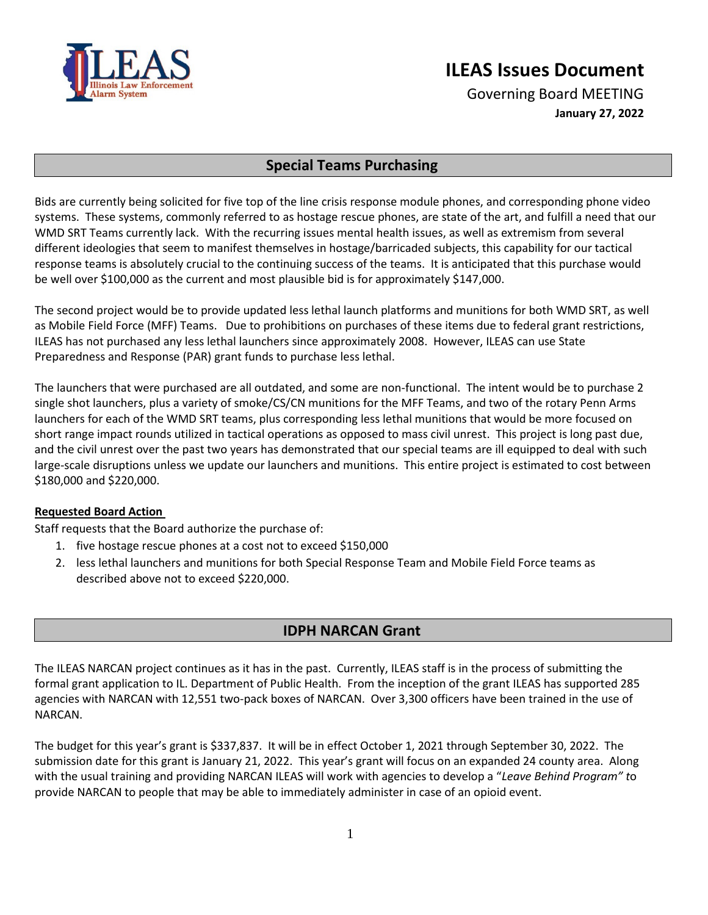

## **ILEAS Issues Document**

Governing Board MEETING **January 27, 2022**

## **Special Teams Purchasing**

Bids are currently being solicited for five top of the line crisis response module phones, and corresponding phone video systems. These systems, commonly referred to as hostage rescue phones, are state of the art, and fulfill a need that our WMD SRT Teams currently lack. With the recurring issues mental health issues, as well as extremism from several different ideologies that seem to manifest themselves in hostage/barricaded subjects, this capability for our tactical response teams is absolutely crucial to the continuing success of the teams. It is anticipated that this purchase would be well over \$100,000 as the current and most plausible bid is for approximately \$147,000.

The second project would be to provide updated less lethal launch platforms and munitions for both WMD SRT, as well as Mobile Field Force (MFF) Teams. Due to prohibitions on purchases of these items due to federal grant restrictions, ILEAS has not purchased any less lethal launchers since approximately 2008. However, ILEAS can use State Preparedness and Response (PAR) grant funds to purchase less lethal.

The launchers that were purchased are all outdated, and some are non-functional. The intent would be to purchase 2 single shot launchers, plus a variety of smoke/CS/CN munitions for the MFF Teams, and two of the rotary Penn Arms launchers for each of the WMD SRT teams, plus corresponding less lethal munitions that would be more focused on short range impact rounds utilized in tactical operations as opposed to mass civil unrest. This project is long past due, and the civil unrest over the past two years has demonstrated that our special teams are ill equipped to deal with such large-scale disruptions unless we update our launchers and munitions. This entire project is estimated to cost between \$180,000 and \$220,000.

## **Requested Board Action**

Staff requests that the Board authorize the purchase of:

- 1. five hostage rescue phones at a cost not to exceed \$150,000
- 2. less lethal launchers and munitions for both Special Response Team and Mobile Field Force teams as described above not to exceed \$220,000.

## **IDPH NARCAN Grant**

The ILEAS NARCAN project continues as it has in the past. Currently, ILEAS staff is in the process of submitting the formal grant application to IL. Department of Public Health. From the inception of the grant ILEAS has supported 285 agencies with NARCAN with 12,551 two-pack boxes of NARCAN. Over 3,300 officers have been trained in the use of NARCAN.

The budget for this year's grant is \$337,837. It will be in effect October 1, 2021 through September 30, 2022. The submission date for this grant is January 21, 2022. This year's grant will focus on an expanded 24 county area. Along with the usual training and providing NARCAN ILEAS will work with agencies to develop a "*Leave Behind Program" t*o provide NARCAN to people that may be able to immediately administer in case of an opioid event.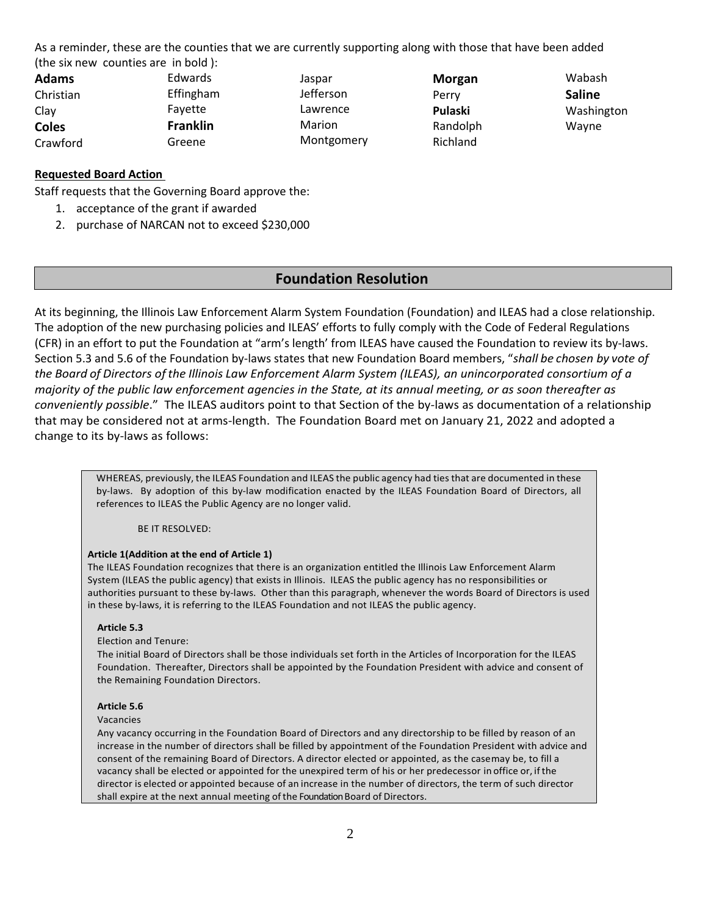As a reminder, these are the counties that we are currently supporting along with those that have been added (the six new counties are in bold ):

| <b>Adams</b> | <b>Edwards</b>  | Jaspar           | Morgan   | Wabash        |
|--------------|-----------------|------------------|----------|---------------|
| Christian    | Effingham       | <b>Jefferson</b> | Perry    | <b>Saline</b> |
| Clay         | Favette         | Lawrence         | Pulaski  | Washington    |
| <b>Coles</b> | <b>Franklin</b> | Marion           | Randolph | Wavne         |
| Crawford     | Greene          | Montgomery       | Richland |               |

#### **Requested Board Action**

Staff requests that the Governing Board approve the:

- 1. acceptance of the grant if awarded
- 2. purchase of NARCAN not to exceed \$230,000

## **Foundation Resolution**

At its beginning, the Illinois Law Enforcement Alarm System Foundation (Foundation) and ILEAS had a close relationship. The adoption of the new purchasing policies and ILEAS' efforts to fully comply with the Code of Federal Regulations (CFR) in an effort to put the Foundation at "arm's length' from ILEAS have caused the Foundation to review its by-laws. Section 5.3 and 5.6 of the Foundation by-laws states that new Foundation Board members, "*shall be chosen by vote of the Board of Directors of the Illinois Law Enforcement Alarm System (ILEAS), an unincorporated consortium of a majority of the public law enforcement agencies in the State, at its annual meeting, or as soon thereafter as conveniently possible*." The ILEAS auditors point to that Section of the by-laws as documentation of a relationship that may be considered not at arms-length. The Foundation Board met on January 21, 2022 and adopted a change to its by-laws as follows:

WHEREAS, previously, the ILEAS Foundation and ILEAS the public agency had ties that are documented in these by-laws. By adoption of this by-law modification enacted by the ILEAS Foundation Board of Directors, all references to ILEAS the Public Agency are no longer valid.

BE IT RESOLVED:

#### **Article 1(Addition at the end of Article 1)**

The ILEAS Foundation recognizes that there is an organization entitled the Illinois Law Enforcement Alarm System (ILEAS the public agency) that exists in Illinois. ILEAS the public agency has no responsibilities or authorities pursuant to these by-laws. Other than this paragraph, whenever the words Board of Directors is used in these by-laws, it is referring to the ILEAS Foundation and not ILEAS the public agency.

#### **Article 5.3**

Election and Tenure:

The initial Board of Directors shall be those individuals set forth in the Articles of Incorporation for the ILEAS Foundation. Thereafter, Directors shall be appointed by the Foundation President with advice and consent of the Remaining Foundation Directors.

#### **Article 5.6**

Vacancies

Any vacancy occurring in the Foundation Board of Directors and any directorship to be filled by reason of an increase in the number of directors shall be filled by appointment of the Foundation President with advice and consent of the remaining Board of Directors. A director elected or appointed, as the casemay be, to fill a vacancy shall be elected or appointed for the unexpired term of his or her predecessor in office or, ifthe director is elected or appointed because of an increase in the number of directors, the term of such director shall expire at the next annual meeting ofthe Foundation Board of Directors.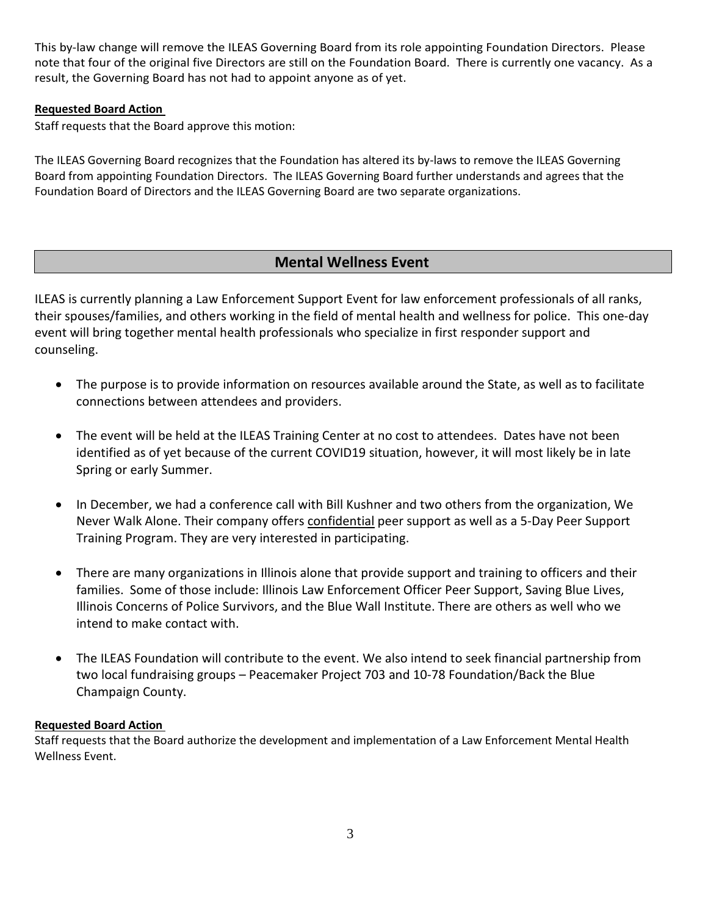This by-law change will remove the ILEAS Governing Board from its role appointing Foundation Directors. Please note that four of the original five Directors are still on the Foundation Board. There is currently one vacancy. As a result, the Governing Board has not had to appoint anyone as of yet.

## **Requested Board Action**

Staff requests that the Board approve this motion:

The ILEAS Governing Board recognizes that the Foundation has altered its by-laws to remove the ILEAS Governing Board from appointing Foundation Directors. The ILEAS Governing Board further understands and agrees that the Foundation Board of Directors and the ILEAS Governing Board are two separate organizations.

## **Mental Wellness Event**

ILEAS is currently planning a Law Enforcement Support Event for law enforcement professionals of all ranks, their spouses/families, and others working in the field of mental health and wellness for police. This one-day event will bring together mental health professionals who specialize in first responder support and counseling.

- The purpose is to provide information on resources available around the State, as well as to facilitate connections between attendees and providers.
- The event will be held at the ILEAS Training Center at no cost to attendees. Dates have not been identified as of yet because of the current COVID19 situation, however, it will most likely be in late Spring or early Summer.
- In December, we had a conference call with Bill Kushner and two others from the organization, We Never Walk Alone. Their company offers confidential peer support as well as a 5-Day Peer Support Training Program. They are very interested in participating.
- There are many organizations in Illinois alone that provide support and training to officers and their families. Some of those include: Illinois Law Enforcement Officer Peer Support, Saving Blue Lives, Illinois Concerns of Police Survivors, and the Blue Wall Institute. There are others as well who we intend to make contact with.
- The ILEAS Foundation will contribute to the event. We also intend to seek financial partnership from two local fundraising groups – Peacemaker Project 703 and 10-78 Foundation/Back the Blue Champaign County.

## **Requested Board Action**

Staff requests that the Board authorize the development and implementation of a Law Enforcement Mental Health Wellness Event.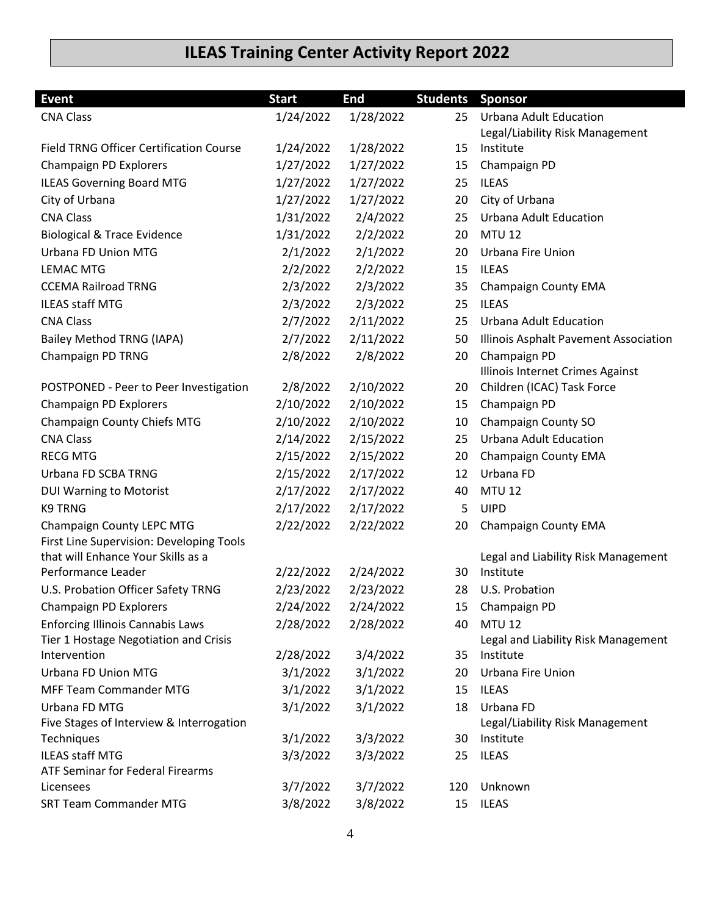# **ILEAS Training Center Activity Report 2022**

| <b>Event</b>                                                      | <b>Start</b> | <b>End</b> | <b>Students Sponsor</b> |                                              |
|-------------------------------------------------------------------|--------------|------------|-------------------------|----------------------------------------------|
| <b>CNA Class</b>                                                  | 1/24/2022    | 1/28/2022  | 25                      | <b>Urbana Adult Education</b>                |
|                                                                   |              |            |                         | Legal/Liability Risk Management              |
| <b>Field TRNG Officer Certification Course</b>                    | 1/24/2022    | 1/28/2022  | 15                      | Institute                                    |
| Champaign PD Explorers                                            | 1/27/2022    | 1/27/2022  | 15                      | Champaign PD                                 |
| <b>ILEAS Governing Board MTG</b>                                  | 1/27/2022    | 1/27/2022  | 25                      | <b>ILEAS</b>                                 |
| City of Urbana                                                    | 1/27/2022    | 1/27/2022  | 20                      | City of Urbana                               |
| <b>CNA Class</b>                                                  | 1/31/2022    | 2/4/2022   | 25                      | <b>Urbana Adult Education</b>                |
| <b>Biological &amp; Trace Evidence</b>                            | 1/31/2022    | 2/2/2022   | 20                      | <b>MTU 12</b>                                |
| Urbana FD Union MTG                                               | 2/1/2022     | 2/1/2022   | 20                      | Urbana Fire Union                            |
| <b>LEMAC MTG</b>                                                  | 2/2/2022     | 2/2/2022   | 15                      | <b>ILEAS</b>                                 |
| <b>CCEMA Railroad TRNG</b>                                        | 2/3/2022     | 2/3/2022   | 35                      | Champaign County EMA                         |
| <b>ILEAS staff MTG</b>                                            | 2/3/2022     | 2/3/2022   | 25                      | <b>ILEAS</b>                                 |
| <b>CNA Class</b>                                                  | 2/7/2022     | 2/11/2022  | 25                      | <b>Urbana Adult Education</b>                |
| Bailey Method TRNG (IAPA)                                         | 2/7/2022     | 2/11/2022  | 50                      | Illinois Asphalt Pavement Association        |
| Champaign PD TRNG                                                 | 2/8/2022     | 2/8/2022   | 20                      | Champaign PD                                 |
|                                                                   |              |            |                         | Illinois Internet Crimes Against             |
| POSTPONED - Peer to Peer Investigation                            | 2/8/2022     | 2/10/2022  | 20                      | Children (ICAC) Task Force                   |
| Champaign PD Explorers                                            | 2/10/2022    | 2/10/2022  | 15                      | Champaign PD                                 |
| Champaign County Chiefs MTG                                       | 2/10/2022    | 2/10/2022  | 10                      | Champaign County SO                          |
| <b>CNA Class</b>                                                  | 2/14/2022    | 2/15/2022  | 25                      | <b>Urbana Adult Education</b>                |
| <b>RECG MTG</b>                                                   | 2/15/2022    | 2/15/2022  | 20                      | Champaign County EMA                         |
| Urbana FD SCBA TRNG                                               | 2/15/2022    | 2/17/2022  | 12                      | Urbana FD                                    |
| <b>DUI Warning to Motorist</b>                                    | 2/17/2022    | 2/17/2022  | 40                      | <b>MTU 12</b>                                |
| <b>K9 TRNG</b>                                                    | 2/17/2022    | 2/17/2022  | 5                       | <b>UIPD</b>                                  |
| Champaign County LEPC MTG                                         | 2/22/2022    | 2/22/2022  | 20                      | Champaign County EMA                         |
| First Line Supervision: Developing Tools                          |              |            |                         |                                              |
| that will Enhance Your Skills as a                                |              |            |                         | Legal and Liability Risk Management          |
| Performance Leader                                                | 2/22/2022    | 2/24/2022  | 30                      | Institute                                    |
| U.S. Probation Officer Safety TRNG                                | 2/23/2022    | 2/23/2022  | 28                      | U.S. Probation                               |
| Champaign PD Explorers                                            | 2/24/2022    | 2/24/2022  | 15                      | Champaign PD                                 |
| <b>Enforcing Illinois Cannabis Laws</b>                           | 2/28/2022    | 2/28/2022  | 40                      | <b>MTU 12</b>                                |
| Tier 1 Hostage Negotiation and Crisis                             |              |            |                         | Legal and Liability Risk Management          |
| Intervention                                                      | 2/28/2022    | 3/4/2022   | 35                      | Institute                                    |
| Urbana FD Union MTG                                               | 3/1/2022     | 3/1/2022   | 20                      | Urbana Fire Union                            |
| <b>MFF Team Commander MTG</b>                                     | 3/1/2022     | 3/1/2022   | 15                      | <b>ILEAS</b>                                 |
| Urbana FD MTG                                                     | 3/1/2022     | 3/1/2022   | 18                      | Urbana FD                                    |
| Five Stages of Interview & Interrogation                          |              |            | 30                      | Legal/Liability Risk Management<br>Institute |
| Techniques                                                        | 3/1/2022     | 3/3/2022   |                         |                                              |
| <b>ILEAS staff MTG</b><br><b>ATF Seminar for Federal Firearms</b> | 3/3/2022     | 3/3/2022   | 25                      | <b>ILEAS</b>                                 |
| Licensees                                                         | 3/7/2022     | 3/7/2022   | 120                     | Unknown                                      |
| <b>SRT Team Commander MTG</b>                                     | 3/8/2022     | 3/8/2022   | 15                      | <b>ILEAS</b>                                 |
|                                                                   |              |            |                         |                                              |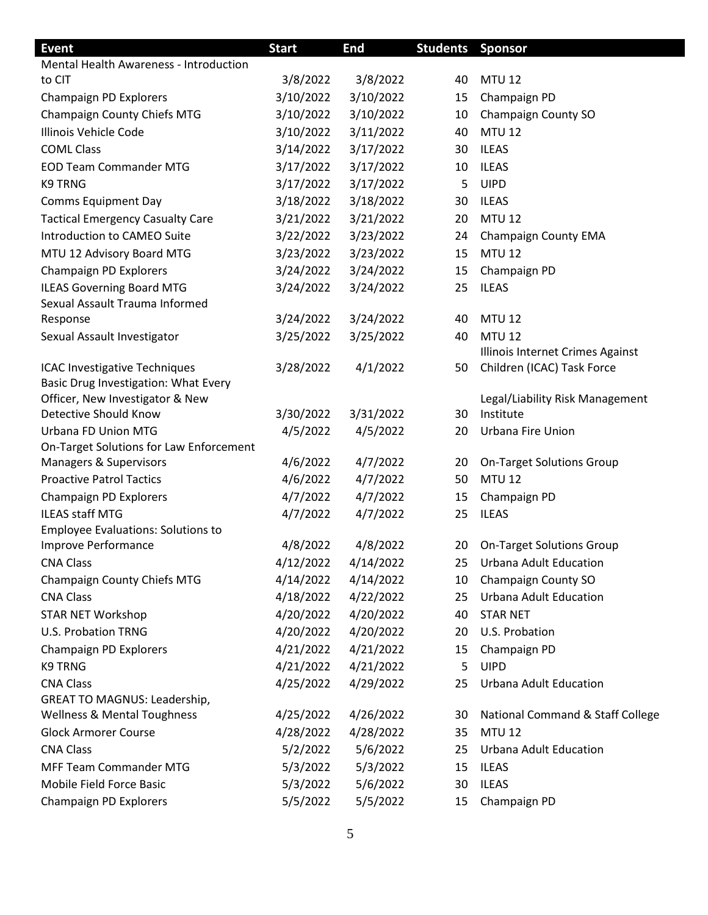| <b>Event</b>                                                    | <b>Start</b> | <b>End</b> | <b>Students Sponsor</b> |                                              |
|-----------------------------------------------------------------|--------------|------------|-------------------------|----------------------------------------------|
| <b>Mental Health Awareness - Introduction</b>                   |              |            |                         |                                              |
| to CIT                                                          | 3/8/2022     | 3/8/2022   | 40                      | <b>MTU 12</b>                                |
| Champaign PD Explorers                                          | 3/10/2022    | 3/10/2022  | 15                      | Champaign PD                                 |
| Champaign County Chiefs MTG                                     | 3/10/2022    | 3/10/2022  | 10                      | Champaign County SO                          |
| Illinois Vehicle Code                                           | 3/10/2022    | 3/11/2022  | 40                      | <b>MTU 12</b>                                |
| <b>COML Class</b>                                               | 3/14/2022    | 3/17/2022  | 30                      | <b>ILEAS</b>                                 |
| <b>EOD Team Commander MTG</b>                                   | 3/17/2022    | 3/17/2022  | 10                      | <b>ILEAS</b>                                 |
| <b>K9 TRNG</b>                                                  | 3/17/2022    | 3/17/2022  | 5                       | <b>UIPD</b>                                  |
| <b>Comms Equipment Day</b>                                      | 3/18/2022    | 3/18/2022  | 30                      | <b>ILEAS</b>                                 |
| <b>Tactical Emergency Casualty Care</b>                         | 3/21/2022    | 3/21/2022  | 20                      | <b>MTU 12</b>                                |
| Introduction to CAMEO Suite                                     | 3/22/2022    | 3/23/2022  | 24                      | <b>Champaign County EMA</b>                  |
| MTU 12 Advisory Board MTG                                       | 3/23/2022    | 3/23/2022  | 15                      | <b>MTU 12</b>                                |
| Champaign PD Explorers                                          | 3/24/2022    | 3/24/2022  | 15                      | Champaign PD                                 |
| <b>ILEAS Governing Board MTG</b>                                | 3/24/2022    | 3/24/2022  | 25                      | <b>ILEAS</b>                                 |
| Sexual Assault Trauma Informed                                  |              |            |                         |                                              |
| Response                                                        | 3/24/2022    | 3/24/2022  | 40                      | <b>MTU 12</b>                                |
| Sexual Assault Investigator                                     | 3/25/2022    | 3/25/2022  | 40                      | <b>MTU 12</b>                                |
|                                                                 |              |            |                         | Illinois Internet Crimes Against             |
| ICAC Investigative Techniques                                   | 3/28/2022    | 4/1/2022   | 50                      | Children (ICAC) Task Force                   |
| Basic Drug Investigation: What Every                            |              |            |                         |                                              |
| Officer, New Investigator & New<br><b>Detective Should Know</b> | 3/30/2022    | 3/31/2022  | 30                      | Legal/Liability Risk Management<br>Institute |
| Urbana FD Union MTG                                             | 4/5/2022     | 4/5/2022   | 20                      | Urbana Fire Union                            |
| On-Target Solutions for Law Enforcement                         |              |            |                         |                                              |
| Managers & Supervisors                                          | 4/6/2022     | 4/7/2022   | 20                      | <b>On-Target Solutions Group</b>             |
| <b>Proactive Patrol Tactics</b>                                 | 4/6/2022     | 4/7/2022   | 50                      | <b>MTU 12</b>                                |
| Champaign PD Explorers                                          | 4/7/2022     | 4/7/2022   | 15                      | Champaign PD                                 |
| <b>ILEAS staff MTG</b>                                          | 4/7/2022     | 4/7/2022   | 25                      | <b>ILEAS</b>                                 |
| <b>Employee Evaluations: Solutions to</b>                       |              |            |                         |                                              |
| Improve Performance                                             | 4/8/2022     | 4/8/2022   | 20                      | <b>On-Target Solutions Group</b>             |
| <b>CNA Class</b>                                                | 4/12/2022    | 4/14/2022  | 25                      | <b>Urbana Adult Education</b>                |
| Champaign County Chiefs MTG                                     | 4/14/2022    | 4/14/2022  | 10                      | Champaign County SO                          |
| <b>CNA Class</b>                                                | 4/18/2022    | 4/22/2022  | 25                      | <b>Urbana Adult Education</b>                |
| <b>STAR NET Workshop</b>                                        | 4/20/2022    | 4/20/2022  | 40                      | <b>STAR NET</b>                              |
| <b>U.S. Probation TRNG</b>                                      | 4/20/2022    | 4/20/2022  | 20                      | U.S. Probation                               |
| Champaign PD Explorers                                          | 4/21/2022    | 4/21/2022  | 15                      | Champaign PD                                 |
| K9 TRNG                                                         | 4/21/2022    | 4/21/2022  | 5                       | <b>UIPD</b>                                  |
| <b>CNA Class</b>                                                | 4/25/2022    | 4/29/2022  | 25                      | <b>Urbana Adult Education</b>                |
| <b>GREAT TO MAGNUS: Leadership,</b>                             |              |            |                         |                                              |
| <b>Wellness &amp; Mental Toughness</b>                          | 4/25/2022    | 4/26/2022  | 30                      | National Command & Staff College             |
| <b>Glock Armorer Course</b>                                     | 4/28/2022    | 4/28/2022  | 35                      | <b>MTU 12</b>                                |
| <b>CNA Class</b>                                                | 5/2/2022     | 5/6/2022   | 25                      | <b>Urbana Adult Education</b>                |
| <b>MFF Team Commander MTG</b>                                   | 5/3/2022     | 5/3/2022   | 15                      | <b>ILEAS</b>                                 |
| Mobile Field Force Basic                                        | 5/3/2022     | 5/6/2022   | 30                      | <b>ILEAS</b>                                 |
| Champaign PD Explorers                                          | 5/5/2022     | 5/5/2022   | 15                      | Champaign PD                                 |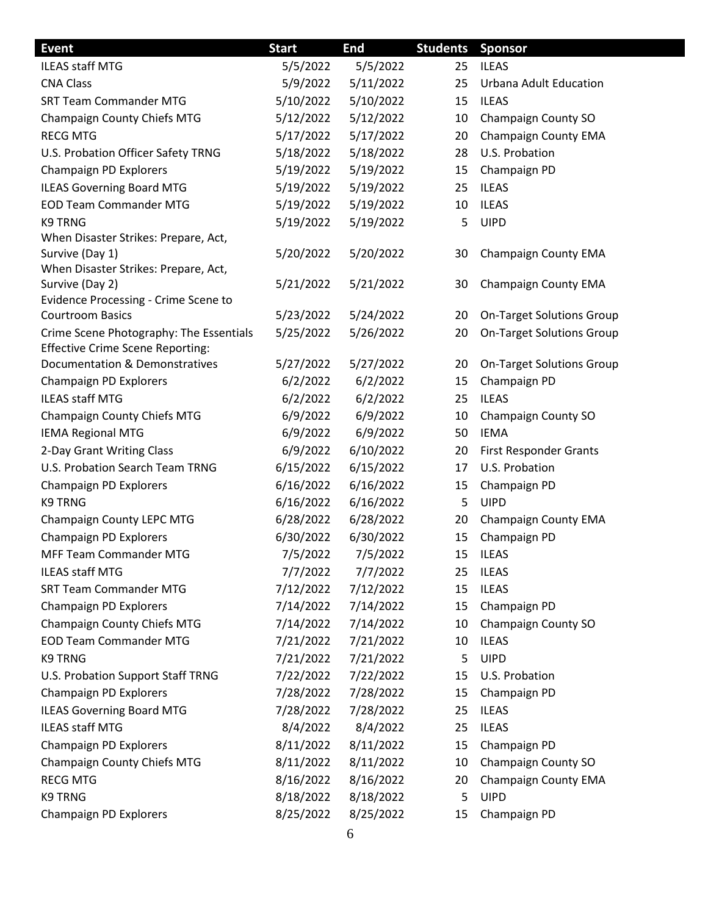| <b>Event</b>                                                    | <b>Start</b> | End       | <b>Students</b> | <b>Sponsor</b>                   |
|-----------------------------------------------------------------|--------------|-----------|-----------------|----------------------------------|
| <b>ILEAS staff MTG</b>                                          | 5/5/2022     | 5/5/2022  | 25              | <b>ILEAS</b>                     |
| <b>CNA Class</b>                                                | 5/9/2022     | 5/11/2022 | 25              | Urbana Adult Education           |
| <b>SRT Team Commander MTG</b>                                   | 5/10/2022    | 5/10/2022 | 15              | <b>ILEAS</b>                     |
| Champaign County Chiefs MTG                                     | 5/12/2022    | 5/12/2022 | 10              | Champaign County SO              |
| <b>RECG MTG</b>                                                 | 5/17/2022    | 5/17/2022 | 20              | <b>Champaign County EMA</b>      |
| U.S. Probation Officer Safety TRNG                              | 5/18/2022    | 5/18/2022 | 28              | U.S. Probation                   |
| Champaign PD Explorers                                          | 5/19/2022    | 5/19/2022 | 15              | Champaign PD                     |
| <b>ILEAS Governing Board MTG</b>                                | 5/19/2022    | 5/19/2022 | 25              | <b>ILEAS</b>                     |
| <b>EOD Team Commander MTG</b>                                   | 5/19/2022    | 5/19/2022 | 10              | <b>ILEAS</b>                     |
| K9 TRNG                                                         | 5/19/2022    | 5/19/2022 | 5               | <b>UIPD</b>                      |
| When Disaster Strikes: Prepare, Act,                            |              |           |                 |                                  |
| Survive (Day 1)                                                 | 5/20/2022    | 5/20/2022 | 30              | Champaign County EMA             |
| When Disaster Strikes: Prepare, Act,                            |              |           |                 |                                  |
| Survive (Day 2)                                                 | 5/21/2022    | 5/21/2022 | 30              | Champaign County EMA             |
| Evidence Processing - Crime Scene to<br><b>Courtroom Basics</b> | 5/23/2022    | 5/24/2022 | 20              | <b>On-Target Solutions Group</b> |
| Crime Scene Photography: The Essentials                         | 5/25/2022    | 5/26/2022 | 20              | <b>On-Target Solutions Group</b> |
| <b>Effective Crime Scene Reporting:</b>                         |              |           |                 |                                  |
| Documentation & Demonstratives                                  | 5/27/2022    | 5/27/2022 | 20              | <b>On-Target Solutions Group</b> |
| Champaign PD Explorers                                          | 6/2/2022     | 6/2/2022  | 15              | Champaign PD                     |
| <b>ILEAS staff MTG</b>                                          | 6/2/2022     | 6/2/2022  | 25              | <b>ILEAS</b>                     |
| Champaign County Chiefs MTG                                     | 6/9/2022     | 6/9/2022  | 10              | Champaign County SO              |
| <b>IEMA Regional MTG</b>                                        | 6/9/2022     | 6/9/2022  | 50              | <b>IEMA</b>                      |
| 2-Day Grant Writing Class                                       | 6/9/2022     | 6/10/2022 | 20              | First Responder Grants           |
| U.S. Probation Search Team TRNG                                 | 6/15/2022    | 6/15/2022 | 17              | U.S. Probation                   |
| Champaign PD Explorers                                          | 6/16/2022    | 6/16/2022 | 15              | Champaign PD                     |
| <b>K9 TRNG</b>                                                  | 6/16/2022    | 6/16/2022 | 5               | <b>UIPD</b>                      |
| Champaign County LEPC MTG                                       | 6/28/2022    | 6/28/2022 | 20              | Champaign County EMA             |
| Champaign PD Explorers                                          | 6/30/2022    | 6/30/2022 | 15              | Champaign PD                     |
| MFF Team Commander MTG                                          | 7/5/2022     | 7/5/2022  | 15              | ILEAS                            |
| ILEAS staff MTG                                                 | 7/7/2022     | 7/7/2022  | 25              | <b>ILEAS</b>                     |
| <b>SRT Team Commander MTG</b>                                   | 7/12/2022    | 7/12/2022 | 15              | <b>ILEAS</b>                     |
| Champaign PD Explorers                                          | 7/14/2022    | 7/14/2022 | 15              | Champaign PD                     |
| Champaign County Chiefs MTG                                     | 7/14/2022    | 7/14/2022 | 10              | Champaign County SO              |
| <b>EOD Team Commander MTG</b>                                   | 7/21/2022    | 7/21/2022 | 10              | <b>ILEAS</b>                     |
| <b>K9 TRNG</b>                                                  | 7/21/2022    | 7/21/2022 | 5               | <b>UIPD</b>                      |
| U.S. Probation Support Staff TRNG                               | 7/22/2022    | 7/22/2022 | 15              | U.S. Probation                   |
| Champaign PD Explorers                                          | 7/28/2022    | 7/28/2022 | 15              | Champaign PD                     |
| <b>ILEAS Governing Board MTG</b>                                | 7/28/2022    | 7/28/2022 | 25              | <b>ILEAS</b>                     |
| <b>ILEAS staff MTG</b>                                          | 8/4/2022     | 8/4/2022  | 25              | <b>ILEAS</b>                     |
| Champaign PD Explorers                                          | 8/11/2022    | 8/11/2022 | 15              | Champaign PD                     |
| Champaign County Chiefs MTG                                     | 8/11/2022    | 8/11/2022 | 10              | Champaign County SO              |
| <b>RECG MTG</b>                                                 | 8/16/2022    | 8/16/2022 | 20              | Champaign County EMA             |
| K9 TRNG                                                         | 8/18/2022    | 8/18/2022 | 5               | <b>UIPD</b>                      |
| Champaign PD Explorers                                          | 8/25/2022    | 8/25/2022 | 15              | Champaign PD                     |
|                                                                 |              |           |                 |                                  |

 $\overline{\phantom{a}}$